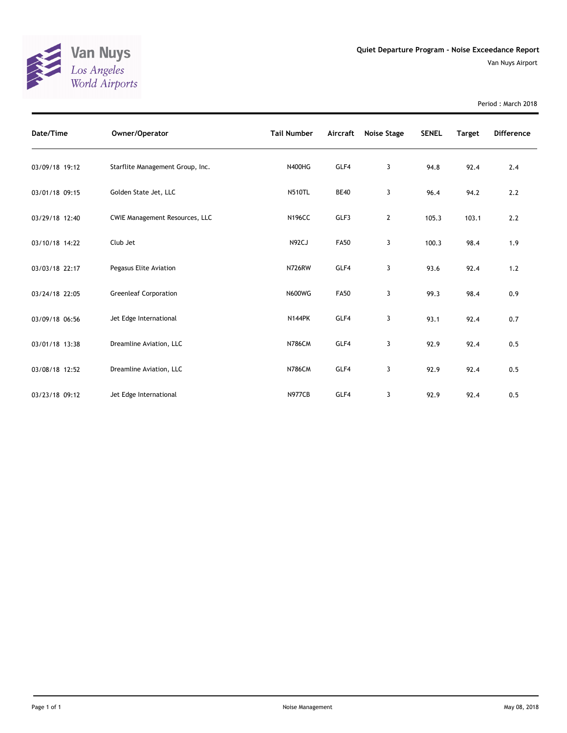

Period : March 2018

| Date/Time      | Owner/Operator                        | <b>Tail Number</b> | Aircraft    | Noise Stage | <b>SENEL</b> | <b>Target</b> | <b>Difference</b> |
|----------------|---------------------------------------|--------------------|-------------|-------------|--------------|---------------|-------------------|
| 03/09/18 19:12 | Starflite Management Group, Inc.      | <b>N400HG</b>      | GLF4        | 3           | 94.8         | 92.4          | 2.4               |
| 03/01/18 09:15 | Golden State Jet, LLC                 | <b>N510TL</b>      | <b>BE40</b> | 3           | 96.4         | 94.2          | 2.2               |
| 03/29/18 12:40 | <b>CWIE Management Resources, LLC</b> | <b>N196CC</b>      | GLF3        | 2           | 105.3        | 103.1         | 2.2               |
| 03/10/18 14:22 | Club Jet                              | N92CJ              | <b>FA50</b> | 3           | 100.3        | 98.4          | 1.9               |
| 03/03/18 22:17 | Pegasus Elite Aviation                | <b>N726RW</b>      | GLF4        | 3           | 93.6         | 92.4          | 1.2               |
| 03/24/18 22:05 | <b>Greenleaf Corporation</b>          | <b>N600WG</b>      | <b>FA50</b> | 3           | 99.3         | 98.4          | 0.9               |
| 03/09/18 06:56 | Jet Edge International                | <b>N144PK</b>      | GLF4        | 3           | 93.1         | 92.4          | 0.7               |
| 03/01/18 13:38 | Dreamline Aviation, LLC               | <b>N786CM</b>      | GLF4        | 3           | 92.9         | 92.4          | 0.5               |
| 03/08/18 12:52 | Dreamline Aviation, LLC               | <b>N786CM</b>      | GLF4        | 3           | 92.9         | 92.4          | 0.5               |
| 03/23/18 09:12 | Jet Edge International                | <b>N977CB</b>      | GLF4        | 3           | 92.9         | 92.4          | 0.5               |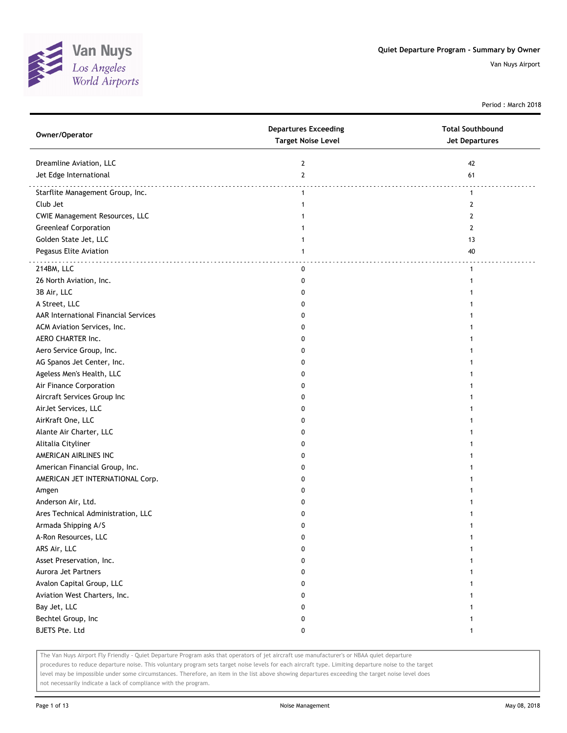

Period : March 2018

| Owner/Operator                        | <b>Departures Exceeding</b><br><b>Target Noise Level</b> | <b>Total Southbound</b><br><b>Jet Departures</b> |
|---------------------------------------|----------------------------------------------------------|--------------------------------------------------|
| Dreamline Aviation, LLC               | 2                                                        | 42                                               |
| Jet Edge International                | $\mathbf{2}$                                             | 61                                               |
| Starflite Management Group, Inc.      | $\mathbf{1}$                                             | .<br>$\mathbf{1}$                                |
| Club Jet                              | 1                                                        | $\mathbf{2}$                                     |
| <b>CWIE Management Resources, LLC</b> |                                                          | 2                                                |
| <b>Greenleaf Corporation</b>          |                                                          | 2                                                |
| Golden State Jet, LLC                 | 1                                                        | 13                                               |
| Pegasus Elite Aviation                | 1                                                        | 40                                               |
| 214BM, LLC                            | 0                                                        | .<br>$\mathbf{1}$                                |
| 26 North Aviation, Inc.               | 0                                                        | 1                                                |
| 3B Air, LLC                           | 0                                                        |                                                  |
| A Street, LLC                         | 0                                                        |                                                  |
| AAR International Financial Services  | 0                                                        |                                                  |
| ACM Aviation Services, Inc.           | 0                                                        |                                                  |
| AERO CHARTER Inc.                     | O                                                        |                                                  |
| Aero Service Group, Inc.              | 0                                                        |                                                  |
| AG Spanos Jet Center, Inc.            | 0                                                        |                                                  |
| Ageless Men's Health, LLC             | 0                                                        |                                                  |
| Air Finance Corporation               | 0                                                        |                                                  |
| Aircraft Services Group Inc           | 0                                                        |                                                  |
| AirJet Services, LLC                  | 0                                                        |                                                  |
| AirKraft One, LLC                     | 0                                                        |                                                  |
| Alante Air Charter, LLC               | 0                                                        |                                                  |
| Alitalia Cityliner                    | 0                                                        |                                                  |
| AMERICAN AIRLINES INC                 | O                                                        |                                                  |
| American Financial Group, Inc.        | 0                                                        |                                                  |
| AMERICAN JET INTERNATIONAL Corp.      | 0                                                        |                                                  |
| Amgen                                 | 0                                                        |                                                  |
| Anderson Air, Ltd.                    | 0                                                        |                                                  |
| Ares Technical Administration, LLC    | 0                                                        |                                                  |
| Armada Shipping A/S                   | 0                                                        |                                                  |
| A-Ron Resources, LLC                  | U                                                        |                                                  |
| ARS Air, LLC                          | 0                                                        |                                                  |
| Asset Preservation, Inc.              | 0                                                        |                                                  |
| Aurora Jet Partners                   | 0                                                        | 1                                                |
| Avalon Capital Group, LLC             | 0                                                        |                                                  |
| Aviation West Charters, Inc.          | 0                                                        |                                                  |
| Bay Jet, LLC                          | 0                                                        |                                                  |
| Bechtel Group, Inc                    | 0                                                        | 1                                                |
| BJETS Pte. Ltd                        | 0                                                        | $\mathbf{1}$                                     |

The Van Nuys Airport Fly Friendly - Quiet Departure Program asks that operators of jet aircraft use manufacturer's or NBAA quiet departure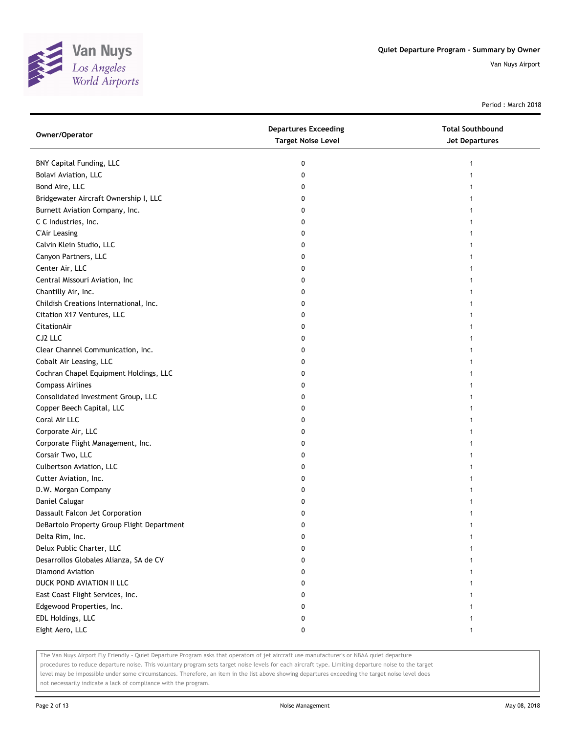

Period : March 2018

| Owner/Operator                             | <b>Departures Exceeding</b><br><b>Target Noise Level</b> | <b>Total Southbound</b><br>Jet Departures |
|--------------------------------------------|----------------------------------------------------------|-------------------------------------------|
| BNY Capital Funding, LLC                   | 0                                                        |                                           |
| Bolavi Aviation, LLC                       | 0                                                        |                                           |
| Bond Aire, LLC                             | 0                                                        |                                           |
| Bridgewater Aircraft Ownership I, LLC      | 0                                                        |                                           |
| Burnett Aviation Company, Inc.             | 0                                                        |                                           |
| C C Industries, Inc.                       | 0                                                        |                                           |
| <b>C'Air Leasing</b>                       | 0                                                        |                                           |
| Calvin Klein Studio, LLC                   | 0                                                        |                                           |
| Canyon Partners, LLC                       | 0                                                        |                                           |
| Center Air, LLC                            | 0                                                        |                                           |
| Central Missouri Aviation, Inc             | 0                                                        |                                           |
| Chantilly Air, Inc.                        | 0                                                        |                                           |
| Childish Creations International, Inc.     | 0                                                        |                                           |
| Citation X17 Ventures, LLC                 | 0                                                        |                                           |
| CitationAir                                | 0                                                        |                                           |
| CJ2 LLC                                    | 0                                                        |                                           |
| Clear Channel Communication, Inc.          | 0                                                        |                                           |
| Cobalt Air Leasing, LLC                    | 0                                                        |                                           |
| Cochran Chapel Equipment Holdings, LLC     | 0                                                        |                                           |
| <b>Compass Airlines</b>                    | 0                                                        |                                           |
| Consolidated Investment Group, LLC         | 0                                                        |                                           |
| Copper Beech Capital, LLC                  | 0                                                        |                                           |
| Coral Air LLC                              | 0                                                        |                                           |
| Corporate Air, LLC                         | 0                                                        |                                           |
| Corporate Flight Management, Inc.          | 0                                                        |                                           |
| Corsair Two, LLC                           | 0                                                        |                                           |
| Culbertson Aviation, LLC                   | 0                                                        |                                           |
| Cutter Aviation, Inc.                      | 0                                                        |                                           |
| D.W. Morgan Company                        | 0                                                        |                                           |
| Daniel Calugar                             | 0                                                        |                                           |
| Dassault Falcon Jet Corporation            | 0                                                        |                                           |
| DeBartolo Property Group Flight Department | 0                                                        |                                           |
| Delta Rim, Inc.                            | 0                                                        |                                           |
| Delux Public Charter, LLC                  | 0                                                        |                                           |
| Desarrollos Globales Alianza, SA de CV     | 0                                                        |                                           |
| Diamond Aviation                           | 0                                                        |                                           |
| DUCK POND AVIATION II LLC                  | 0                                                        |                                           |
| East Coast Flight Services, Inc.           | 0                                                        |                                           |
| Edgewood Properties, Inc.                  | 0                                                        |                                           |
| EDL Holdings, LLC                          | 0                                                        |                                           |
| Eight Aero, LLC                            | 0                                                        | 1                                         |

The Van Nuys Airport Fly Friendly - Quiet Departure Program asks that operators of jet aircraft use manufacturer's or NBAA quiet departure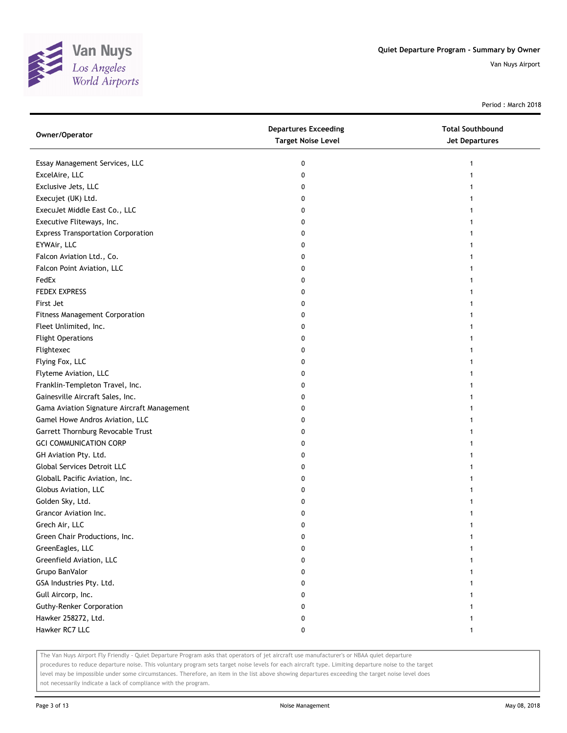

Period : March 2018

| Owner/Operator                              | <b>Departures Exceeding</b><br><b>Target Noise Level</b> | <b>Total Southbound</b><br><b>Jet Departures</b> |
|---------------------------------------------|----------------------------------------------------------|--------------------------------------------------|
| Essay Management Services, LLC              | 0                                                        | 1                                                |
| ExcelAire, LLC                              | 0                                                        |                                                  |
| Exclusive Jets, LLC                         | 0                                                        |                                                  |
| Execujet (UK) Ltd.                          | 0                                                        |                                                  |
| ExecuJet Middle East Co., LLC               | 0                                                        |                                                  |
| Executive Fliteways, Inc.                   | 0                                                        |                                                  |
| <b>Express Transportation Corporation</b>   | 0                                                        |                                                  |
| EYWAir, LLC                                 | 0                                                        |                                                  |
| Falcon Aviation Ltd., Co.                   | 0                                                        |                                                  |
| Falcon Point Aviation, LLC                  | 0                                                        |                                                  |
| FedEx                                       | 0                                                        |                                                  |
| <b>FEDEX EXPRESS</b>                        | 0                                                        |                                                  |
| First Jet                                   | 0                                                        |                                                  |
| <b>Fitness Management Corporation</b>       | 0                                                        |                                                  |
| Fleet Unlimited, Inc.                       | 0                                                        |                                                  |
| <b>Flight Operations</b>                    | 0                                                        |                                                  |
| Flightexec                                  | 0                                                        | 1                                                |
| Flying Fox, LLC                             | 0                                                        | 1                                                |
| Flyteme Aviation, LLC                       | 0                                                        |                                                  |
| Franklin-Templeton Travel, Inc.             | 0                                                        |                                                  |
| Gainesville Aircraft Sales, Inc.            | 0                                                        |                                                  |
| Gama Aviation Signature Aircraft Management | 0                                                        |                                                  |
| Gamel Howe Andros Aviation, LLC             | 0                                                        |                                                  |
| Garrett Thornburg Revocable Trust           | 0                                                        |                                                  |
| <b>GCI COMMUNICATION CORP</b>               | 0                                                        |                                                  |
| GH Aviation Pty. Ltd.                       | 0                                                        | 1                                                |
| Global Services Detroit LLC                 | 0                                                        | 1                                                |
| GlobalL Pacific Aviation, Inc.              | 0                                                        | 1                                                |
| Globus Aviation, LLC                        | 0                                                        |                                                  |
| Golden Sky, Ltd.                            | 0                                                        |                                                  |
| Grancor Aviation Inc.                       | 0                                                        |                                                  |
| Grech Air, LLC                              | 0                                                        |                                                  |
| Green Chair Productions, Inc.               | 0                                                        |                                                  |
| GreenEagles, LLC                            | 0                                                        |                                                  |
| Greenfield Aviation, LLC                    | 0                                                        |                                                  |
| Grupo BanValor                              | 0                                                        |                                                  |
| GSA Industries Pty. Ltd.                    | 0                                                        |                                                  |
| Gull Aircorp, Inc.                          | 0                                                        |                                                  |
| <b>Guthy-Renker Corporation</b>             | 0                                                        |                                                  |
| Hawker 258272, Ltd.                         | 0                                                        |                                                  |
| Hawker RC7 LLC                              | 0                                                        | 1                                                |

The Van Nuys Airport Fly Friendly - Quiet Departure Program asks that operators of jet aircraft use manufacturer's or NBAA quiet departure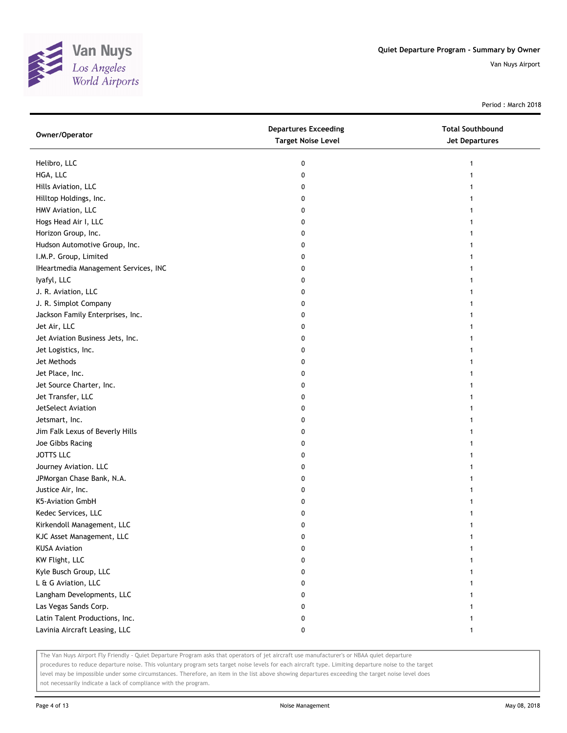

Period : March 2018

| Owner/Operator                       | <b>Departures Exceeding</b><br><b>Target Noise Level</b> | <b>Total Southbound</b><br>Jet Departures |
|--------------------------------------|----------------------------------------------------------|-------------------------------------------|
| Helibro, LLC                         | 0                                                        |                                           |
| HGA, LLC                             | 0                                                        |                                           |
| Hills Aviation, LLC                  | 0                                                        |                                           |
| Hilltop Holdings, Inc.               | 0                                                        |                                           |
| HMV Aviation, LLC                    | 0                                                        |                                           |
| Hogs Head Air I, LLC                 | 0                                                        |                                           |
| Horizon Group, Inc.                  | 0                                                        |                                           |
| Hudson Automotive Group, Inc.        | 0                                                        |                                           |
| I.M.P. Group, Limited                | 0                                                        |                                           |
| IHeartmedia Management Services, INC | 0                                                        |                                           |
| lyafyl, LLC                          | 0                                                        |                                           |
| J. R. Aviation, LLC                  | 0                                                        |                                           |
| J. R. Simplot Company                | 0                                                        |                                           |
| Jackson Family Enterprises, Inc.     | 0                                                        |                                           |
| Jet Air, LLC                         | 0                                                        |                                           |
| Jet Aviation Business Jets, Inc.     | 0                                                        |                                           |
| Jet Logistics, Inc.                  | 0                                                        |                                           |
| Jet Methods                          | 0                                                        |                                           |
| Jet Place, Inc.                      | 0                                                        |                                           |
| Jet Source Charter, Inc.             | 0                                                        |                                           |
| Jet Transfer, LLC                    | 0                                                        |                                           |
| JetSelect Aviation                   | 0                                                        |                                           |
| Jetsmart, Inc.                       | 0                                                        |                                           |
| Jim Falk Lexus of Beverly Hills      | 0                                                        |                                           |
| Joe Gibbs Racing                     | 0                                                        |                                           |
| <b>JOTTS LLC</b>                     | 0                                                        |                                           |
| Journey Aviation. LLC                | 0                                                        |                                           |
| JPMorgan Chase Bank, N.A.            | 0                                                        |                                           |
| Justice Air, Inc.                    | 0                                                        |                                           |
| K5-Aviation GmbH                     | 0                                                        |                                           |
| Kedec Services, LLC                  | 0                                                        |                                           |
| Kirkendoll Management, LLC           | 0                                                        |                                           |
| KJC Asset Management, LLC            | 0                                                        |                                           |
| <b>KUSA Aviation</b>                 | 0                                                        |                                           |
| KW Flight, LLC                       | 0                                                        |                                           |
| Kyle Busch Group, LLC                | 0                                                        |                                           |
| L & G Aviation, LLC                  | 0                                                        |                                           |
| Langham Developments, LLC            | 0                                                        |                                           |
| Las Vegas Sands Corp.                | 0                                                        |                                           |
| Latin Talent Productions, Inc.       | 0                                                        |                                           |
| Lavinia Aircraft Leasing, LLC        | 0                                                        | 1                                         |

The Van Nuys Airport Fly Friendly - Quiet Departure Program asks that operators of jet aircraft use manufacturer's or NBAA quiet departure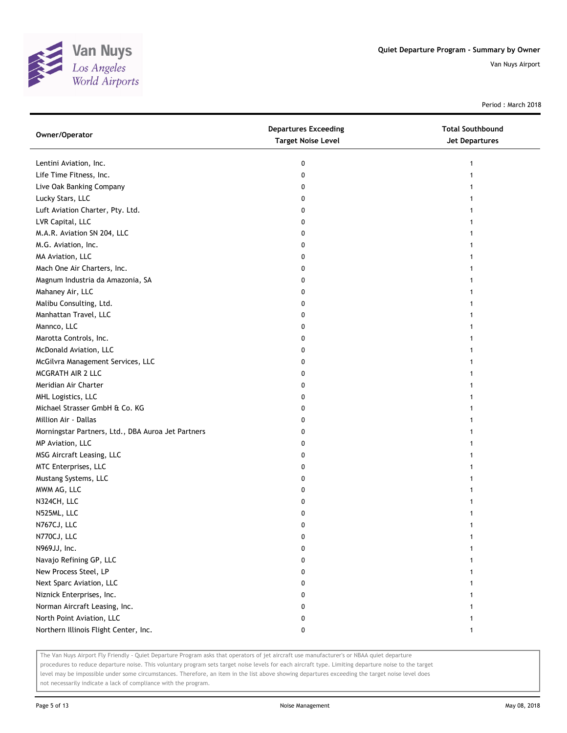

Period : March 2018

| Owner/Operator                                     | <b>Departures Exceeding</b><br><b>Target Noise Level</b> | <b>Total Southbound</b><br>Jet Departures |
|----------------------------------------------------|----------------------------------------------------------|-------------------------------------------|
| Lentini Aviation, Inc.                             | 0                                                        |                                           |
| Life Time Fitness, Inc.                            | 0                                                        |                                           |
| Live Oak Banking Company                           | 0                                                        |                                           |
| Lucky Stars, LLC                                   | 0                                                        |                                           |
| Luft Aviation Charter, Pty. Ltd.                   | 0                                                        |                                           |
| LVR Capital, LLC                                   | 0                                                        |                                           |
| M.A.R. Aviation SN 204, LLC                        | 0                                                        |                                           |
| M.G. Aviation, Inc.                                | 0                                                        |                                           |
| MA Aviation, LLC                                   | 0                                                        |                                           |
| Mach One Air Charters, Inc.                        | 0                                                        |                                           |
| Magnum Industria da Amazonia, SA                   | 0                                                        |                                           |
| Mahaney Air, LLC                                   | 0                                                        |                                           |
| Malibu Consulting, Ltd.                            | 0                                                        |                                           |
| Manhattan Travel, LLC                              | 0                                                        |                                           |
| Mannco, LLC                                        | 0                                                        |                                           |
| Marotta Controls, Inc.                             | 0                                                        |                                           |
| McDonald Aviation, LLC                             | 0                                                        |                                           |
| McGilvra Management Services, LLC                  | 0                                                        |                                           |
| MCGRATH AIR 2 LLC                                  | 0                                                        |                                           |
| Meridian Air Charter                               | 0                                                        |                                           |
| MHL Logistics, LLC                                 | 0                                                        |                                           |
| Michael Strasser GmbH & Co. KG                     | 0                                                        |                                           |
| Million Air - Dallas                               | 0                                                        |                                           |
| Morningstar Partners, Ltd., DBA Auroa Jet Partners | 0                                                        |                                           |
| MP Aviation, LLC                                   | 0                                                        |                                           |
| MSG Aircraft Leasing, LLC                          | 0                                                        |                                           |
| MTC Enterprises, LLC                               | 0                                                        |                                           |
| Mustang Systems, LLC                               | 0                                                        |                                           |
| MWM AG, LLC                                        | 0                                                        |                                           |
| N324CH, LLC                                        | 0                                                        |                                           |
| N525ML, LLC                                        | 0                                                        |                                           |
| N767CJ, LLC                                        | 0                                                        |                                           |
| N770CJ, LLC                                        | 0                                                        |                                           |
| N969JJ, Inc.                                       | 0                                                        |                                           |
| Navajo Refining GP, LLC                            | 0                                                        |                                           |
| New Process Steel, LP                              | 0                                                        |                                           |
| Next Sparc Aviation, LLC                           | 0                                                        |                                           |
| Niznick Enterprises, Inc.                          | 0                                                        |                                           |
| Norman Aircraft Leasing, Inc.                      | 0                                                        |                                           |
| North Point Aviation, LLC                          | 0                                                        |                                           |
| Northern Illinois Flight Center, Inc.              | 0                                                        | 1                                         |

The Van Nuys Airport Fly Friendly - Quiet Departure Program asks that operators of jet aircraft use manufacturer's or NBAA quiet departure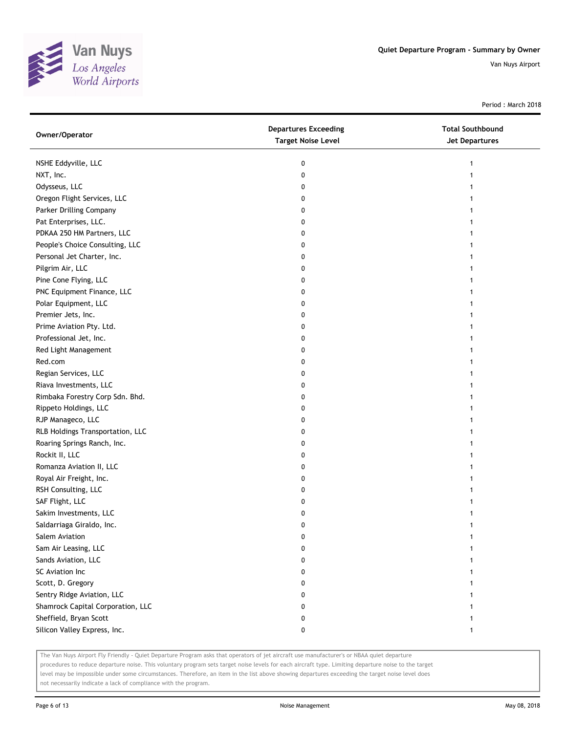

Period : March 2018

| Owner/Operator                    | <b>Departures Exceeding</b><br><b>Target Noise Level</b> | <b>Total Southbound</b><br>Jet Departures |
|-----------------------------------|----------------------------------------------------------|-------------------------------------------|
| NSHE Eddyville, LLC               | 0                                                        |                                           |
| NXT, Inc.                         | 0                                                        |                                           |
| Odysseus, LLC                     | 0                                                        |                                           |
| Oregon Flight Services, LLC       | 0                                                        |                                           |
| Parker Drilling Company           | 0                                                        |                                           |
| Pat Enterprises, LLC.             | 0                                                        | 1                                         |
| PDKAA 250 HM Partners, LLC        | 0                                                        | 1                                         |
| People's Choice Consulting, LLC   | 0                                                        | 1                                         |
| Personal Jet Charter, Inc.        | 0                                                        |                                           |
| Pilgrim Air, LLC                  | 0                                                        |                                           |
| Pine Cone Flying, LLC             | 0                                                        |                                           |
| PNC Equipment Finance, LLC        | 0                                                        |                                           |
| Polar Equipment, LLC              | 0                                                        |                                           |
| Premier Jets, Inc.                | 0                                                        |                                           |
| Prime Aviation Pty. Ltd.          | 0                                                        |                                           |
| Professional Jet, Inc.            | 0                                                        |                                           |
| Red Light Management              | 0                                                        | 1                                         |
| Red.com                           | 0                                                        |                                           |
| Regian Services, LLC              | 0                                                        |                                           |
| Riava Investments, LLC            | 0                                                        |                                           |
| Rimbaka Forestry Corp Sdn. Bhd.   | 0                                                        |                                           |
| Rippeto Holdings, LLC             | 0                                                        |                                           |
| RJP Manageco, LLC                 | 0                                                        |                                           |
| RLB Holdings Transportation, LLC  | 0                                                        |                                           |
| Roaring Springs Ranch, Inc.       | 0                                                        |                                           |
| Rockit II, LLC                    | 0                                                        |                                           |
| Romanza Aviation II, LLC          | 0                                                        |                                           |
| Royal Air Freight, Inc.           | 0                                                        |                                           |
| RSH Consulting, LLC               | 0                                                        |                                           |
| SAF Flight, LLC                   | 0                                                        |                                           |
| Sakim Investments, LLC            | 0                                                        |                                           |
| Saldarriaga Giraldo, Inc.         | 0                                                        |                                           |
| Salem Aviation                    | 0                                                        |                                           |
| Sam Air Leasing, LLC              | 0                                                        |                                           |
| Sands Aviation, LLC               | 0                                                        |                                           |
| SC Aviation Inc                   | 0                                                        |                                           |
| Scott, D. Gregory                 | 0                                                        |                                           |
| Sentry Ridge Aviation, LLC        | 0                                                        |                                           |
| Shamrock Capital Corporation, LLC | 0                                                        |                                           |
| Sheffield, Bryan Scott            | 0                                                        |                                           |
| Silicon Valley Express, Inc.      | 0                                                        | 1                                         |

The Van Nuys Airport Fly Friendly - Quiet Departure Program asks that operators of jet aircraft use manufacturer's or NBAA quiet departure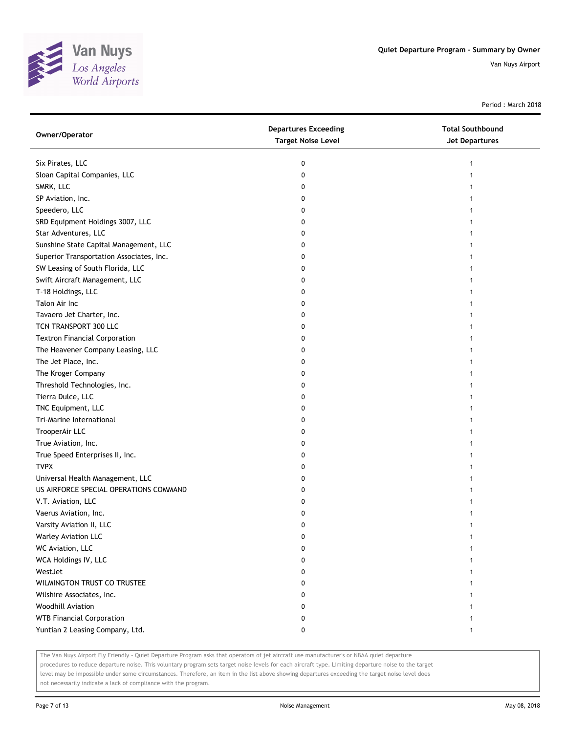

Period : March 2018

| Owner/Operator                           | <b>Departures Exceeding</b><br><b>Target Noise Level</b> | <b>Total Southbound</b><br><b>Jet Departures</b> |
|------------------------------------------|----------------------------------------------------------|--------------------------------------------------|
| Six Pirates, LLC                         | 0                                                        |                                                  |
| Sloan Capital Companies, LLC             | 0                                                        |                                                  |
| SMRK, LLC                                | 0                                                        |                                                  |
| SP Aviation, Inc.                        | 0                                                        |                                                  |
| Speedero, LLC                            | 0                                                        |                                                  |
| SRD Equipment Holdings 3007, LLC         | 0                                                        |                                                  |
| Star Adventures, LLC                     | 0                                                        |                                                  |
| Sunshine State Capital Management, LLC   | 0                                                        |                                                  |
| Superior Transportation Associates, Inc. | 0                                                        |                                                  |
| SW Leasing of South Florida, LLC         | 0                                                        |                                                  |
| Swift Aircraft Management, LLC           | 0                                                        |                                                  |
| T-18 Holdings, LLC                       | 0                                                        |                                                  |
| Talon Air Inc                            | 0                                                        |                                                  |
| Tavaero Jet Charter, Inc.                | 0                                                        |                                                  |
| TCN TRANSPORT 300 LLC                    | 0                                                        |                                                  |
| <b>Textron Financial Corporation</b>     | 0                                                        |                                                  |
| The Heavener Company Leasing, LLC        | 0                                                        |                                                  |
| The Jet Place, Inc.                      | 0                                                        |                                                  |
| The Kroger Company                       | 0                                                        |                                                  |
| Threshold Technologies, Inc.             | 0                                                        |                                                  |
| Tierra Dulce, LLC                        | 0                                                        |                                                  |
| TNC Equipment, LLC                       | 0                                                        |                                                  |
| Tri-Marine International                 | 0                                                        |                                                  |
| TrooperAir LLC                           | 0                                                        |                                                  |
| True Aviation, Inc.                      | 0                                                        |                                                  |
| True Speed Enterprises II, Inc.          | 0                                                        |                                                  |
| <b>TVPX</b>                              | 0                                                        |                                                  |
| Universal Health Management, LLC         | 0                                                        |                                                  |
| US AIRFORCE SPECIAL OPERATIONS COMMAND   | 0                                                        |                                                  |
| V.T. Aviation, LLC                       | 0                                                        |                                                  |
| Vaerus Aviation, Inc.                    | 0                                                        |                                                  |
| Varsity Aviation II, LLC                 | 0                                                        |                                                  |
| Warley Aviation LLC                      | o                                                        |                                                  |
| WC Aviation, LLC                         | 0                                                        |                                                  |
| WCA Holdings IV, LLC                     | 0                                                        |                                                  |
| WestJet                                  | 0                                                        |                                                  |
| WILMINGTON TRUST CO TRUSTEE              | 0                                                        |                                                  |
| Wilshire Associates, Inc.                | 0                                                        |                                                  |
| Woodhill Aviation                        | 0                                                        |                                                  |
| <b>WTB Financial Corporation</b>         | 0                                                        |                                                  |
| Yuntian 2 Leasing Company, Ltd.          | 0                                                        |                                                  |

The Van Nuys Airport Fly Friendly - Quiet Departure Program asks that operators of jet aircraft use manufacturer's or NBAA quiet departure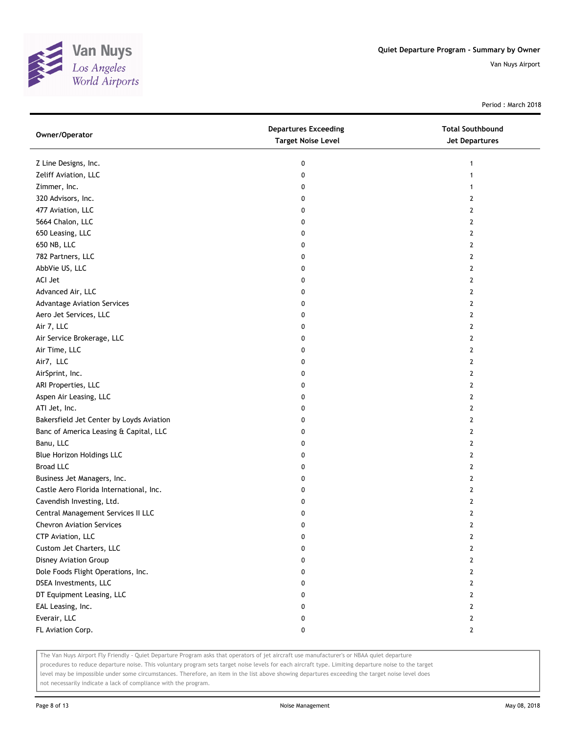

Period : March 2018

| Owner/Operator                           | <b>Departures Exceeding</b><br><b>Target Noise Level</b> | <b>Total Southbound</b><br><b>Jet Departures</b> |
|------------------------------------------|----------------------------------------------------------|--------------------------------------------------|
| Z Line Designs, Inc.                     | 0                                                        | 1                                                |
| Zeliff Aviation, LLC                     | 0                                                        | 1                                                |
| Zimmer, Inc.                             | 0                                                        | 1                                                |
| 320 Advisors, Inc.                       | 0                                                        | 2                                                |
| 477 Aviation, LLC                        | 0                                                        | 2                                                |
| 5664 Chalon, LLC                         | 0                                                        | 2                                                |
| 650 Leasing, LLC                         | 0                                                        | 2                                                |
| 650 NB, LLC                              | 0                                                        | 2                                                |
| 782 Partners, LLC                        | 0                                                        | $\mathbf{2}$                                     |
| AbbVie US, LLC                           | 0                                                        | $\overline{2}$                                   |
| ACI Jet                                  | 0                                                        | $\overline{2}$                                   |
| Advanced Air, LLC                        | 0                                                        | 2                                                |
| <b>Advantage Aviation Services</b>       | 0                                                        | 2                                                |
| Aero Jet Services, LLC                   | 0                                                        | $\overline{2}$                                   |
| Air 7, LLC                               | 0                                                        | 2                                                |
| Air Service Brokerage, LLC               | 0                                                        | 2                                                |
| Air Time, LLC                            | 0                                                        | 2                                                |
| Air7, LLC                                | 0                                                        | $\overline{2}$                                   |
| AirSprint, Inc.                          | 0                                                        | $\overline{2}$                                   |
| ARI Properties, LLC                      | 0                                                        | $\overline{2}$                                   |
| Aspen Air Leasing, LLC                   | 0                                                        | $\overline{2}$                                   |
| ATI Jet, Inc.                            | 0                                                        | 2                                                |
| Bakersfield Jet Center by Loyds Aviation | 0                                                        | 2                                                |
| Banc of America Leasing & Capital, LLC   | 0                                                        | $\mathbf{2}$                                     |
| Banu, LLC                                | 0                                                        | 2                                                |
| Blue Horizon Holdings LLC                | 0                                                        | 2                                                |
| <b>Broad LLC</b>                         | 0                                                        | 2                                                |
| Business Jet Managers, Inc.              | 0                                                        | 2                                                |
| Castle Aero Florida International, Inc.  | 0                                                        | $\overline{2}$                                   |
| Cavendish Investing, Ltd.                | 0                                                        | $\overline{2}$                                   |
| Central Management Services II LLC       | 0                                                        | 2                                                |
| <b>Chevron Aviation Services</b>         | 0                                                        | $\overline{2}$                                   |
| CTP Aviation, LLC                        | 0                                                        | 2                                                |
| Custom Jet Charters, LLC                 | 0                                                        | $\overline{2}$                                   |
| Disney Aviation Group                    | 0                                                        | $\overline{2}$                                   |
| Dole Foods Flight Operations, Inc.       | 0                                                        | 2                                                |
| DSEA Investments, LLC                    | 0                                                        | 2                                                |
| DT Equipment Leasing, LLC                | 0                                                        | $\mathbf{2}$                                     |
| EAL Leasing, Inc.                        | 0                                                        | $\overline{2}$                                   |
| Everair, LLC                             | 0                                                        | $\mathbf{2}$                                     |
| FL Aviation Corp.                        | 0                                                        | $\mathbf{2}$                                     |

The Van Nuys Airport Fly Friendly - Quiet Departure Program asks that operators of jet aircraft use manufacturer's or NBAA quiet departure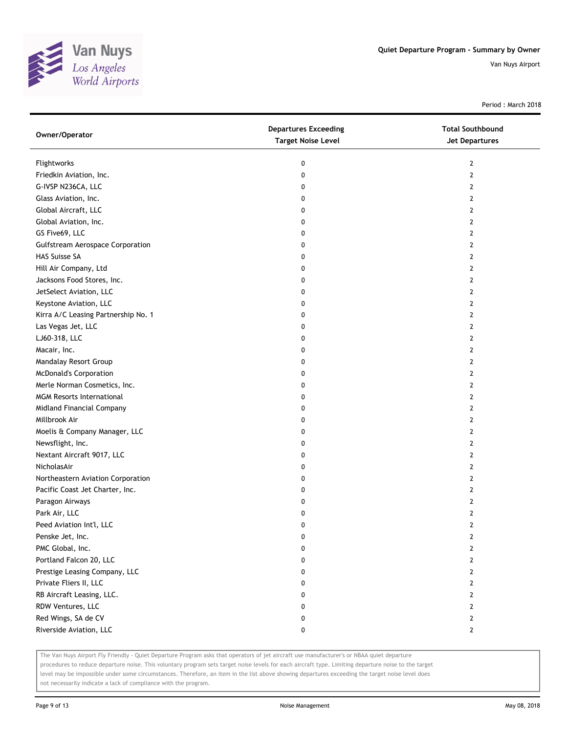

Period : March 2018

| Owner/Operator                          | <b>Departures Exceeding</b><br><b>Target Noise Level</b> | <b>Total Southbound</b><br>Jet Departures |
|-----------------------------------------|----------------------------------------------------------|-------------------------------------------|
| Flightworks                             | 0                                                        | 2                                         |
| Friedkin Aviation, Inc.                 | 0                                                        | 2                                         |
| G-IVSP N236CA, LLC                      | 0                                                        | $\overline{2}$                            |
| Glass Aviation, Inc.                    | 0                                                        | 2                                         |
| Global Aircraft, LLC                    | 0                                                        | 2                                         |
| Global Aviation, Inc.                   | 0                                                        | 2                                         |
| GS Five69, LLC                          | 0                                                        | 2                                         |
| <b>Gulfstream Aerospace Corporation</b> | 0                                                        | $\overline{2}$                            |
| HAS Suisse SA                           | 0                                                        | $\overline{2}$                            |
| Hill Air Company, Ltd                   | 0                                                        | $\overline{2}$                            |
| Jacksons Food Stores, Inc.              | 0                                                        | $\overline{2}$                            |
| JetSelect Aviation, LLC                 | 0                                                        | 2                                         |
| Keystone Aviation, LLC                  | 0                                                        | $\overline{2}$                            |
| Kirra A/C Leasing Partnership No. 1     | 0                                                        | 2                                         |
| Las Vegas Jet, LLC                      | 0                                                        | 2                                         |
| LJ60-318, LLC                           | 0                                                        | 2                                         |
| Macair, Inc.                            | 0                                                        | 2                                         |
| Mandalay Resort Group                   | 0                                                        | $\overline{2}$                            |
| <b>McDonald's Corporation</b>           | 0                                                        | 2                                         |
| Merle Norman Cosmetics, Inc.            | 0                                                        | 2                                         |
| <b>MGM Resorts International</b>        | 0                                                        | $\overline{2}$                            |
| Midland Financial Company               | 0                                                        | 2                                         |
| Millbrook Air                           | 0                                                        | $\overline{2}$                            |
| Moelis & Company Manager, LLC           | 0                                                        | 2                                         |
| Newsflight, Inc.                        | 0                                                        | 2                                         |
| Nextant Aircraft 9017, LLC              | 0                                                        | 2                                         |
| NicholasAir                             | 0                                                        | 2                                         |
| Northeastern Aviation Corporation       | 0                                                        | $\overline{2}$                            |
| Pacific Coast Jet Charter, Inc.         | 0                                                        | $\overline{2}$                            |
| Paragon Airways                         | 0                                                        | 2                                         |
| Park Air, LLC                           | 0                                                        | $\overline{2}$                            |
| Peed Aviation Int'l, LLC                | 0                                                        | $\overline{2}$                            |
| Penske Jet, Inc.                        | 0                                                        | $\overline{2}$                            |
| PMC Global, Inc.                        | 0                                                        | $\overline{2}$                            |
| Portland Falcon 20, LLC                 | 0                                                        | $\overline{2}$                            |
| Prestige Leasing Company, LLC           | 0                                                        | $\overline{2}$                            |
| Private Fliers II, LLC                  | 0                                                        | 2                                         |
| RB Aircraft Leasing, LLC.               | 0                                                        | $\overline{2}$                            |
| RDW Ventures, LLC                       | 0                                                        | $\overline{2}$                            |
| Red Wings, SA de CV                     | 0                                                        | $\overline{2}$                            |
| Riverside Aviation, LLC                 | 0                                                        | $\mathbf{2}$                              |

The Van Nuys Airport Fly Friendly - Quiet Departure Program asks that operators of jet aircraft use manufacturer's or NBAA quiet departure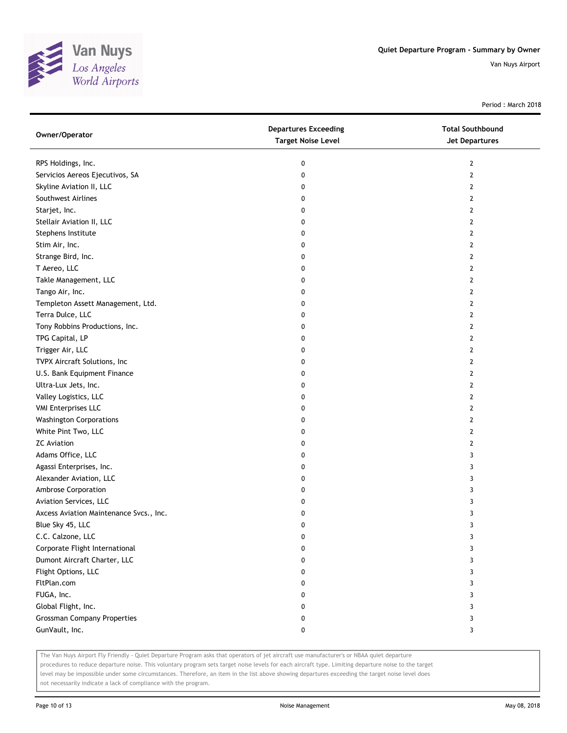

Period : March 2018

| Owner/Operator                          | <b>Departures Exceeding</b><br><b>Target Noise Level</b> | <b>Total Southbound</b><br>Jet Departures |
|-----------------------------------------|----------------------------------------------------------|-------------------------------------------|
| RPS Holdings, Inc.                      | 0                                                        | 2                                         |
| Servicios Aereos Ejecutivos, SA         | 0                                                        | 2                                         |
| Skyline Aviation II, LLC                | 0                                                        | 2                                         |
| Southwest Airlines                      | 0                                                        | 2                                         |
| Starjet, Inc.                           | 0                                                        | 2                                         |
| Stellair Aviation II, LLC               | 0                                                        | 2                                         |
| Stephens Institute                      | 0                                                        | 2                                         |
| Stim Air, Inc.                          | 0                                                        | 2                                         |
| Strange Bird, Inc.                      | 0                                                        | 2                                         |
| T Aereo, LLC                            | 0                                                        | 2                                         |
| Takle Management, LLC                   | 0                                                        | 2                                         |
| Tango Air, Inc.                         | 0                                                        | 2                                         |
| Templeton Assett Management, Ltd.       | 0                                                        | 2                                         |
| Terra Dulce, LLC                        | 0                                                        | 2                                         |
| Tony Robbins Productions, Inc.          | 0                                                        | 2                                         |
| TPG Capital, LP                         | 0                                                        | 2                                         |
| Trigger Air, LLC                        | 0                                                        | 2                                         |
| TVPX Aircraft Solutions, Inc            | 0                                                        | 2                                         |
| U.S. Bank Equipment Finance             | 0                                                        | 2                                         |
| Ultra-Lux Jets, Inc.                    | 0                                                        | 2                                         |
| Valley Logistics, LLC                   | 0                                                        | 2                                         |
| <b>VMI Enterprises LLC</b>              | 0                                                        | 2                                         |
| <b>Washington Corporations</b>          | 0                                                        | 2                                         |
| White Pint Two, LLC                     | 0                                                        | 2                                         |
| <b>ZC Aviation</b>                      | 0                                                        | 2                                         |
| Adams Office, LLC                       | 0                                                        | 3                                         |
| Agassi Enterprises, Inc.                | 0                                                        | 3                                         |
| Alexander Aviation, LLC                 | 0                                                        | 3                                         |
| Ambrose Corporation                     | 0                                                        | 3                                         |
| Aviation Services, LLC                  | 0                                                        | 3                                         |
| Axcess Aviation Maintenance Svcs., Inc. | 0                                                        | 3                                         |
| Blue Sky 45, LLC                        | 0                                                        | 3                                         |
| C.C. Calzone, LLC                       | 0                                                        | 3                                         |
| Corporate Flight International          | 0                                                        | 3                                         |
| Dumont Aircraft Charter, LLC            | 0                                                        | 3                                         |
| Flight Options, LLC                     | 0                                                        | 3                                         |
| FltPlan.com                             | 0                                                        | 3                                         |
| FUGA, Inc.                              | 0                                                        | 3                                         |
| Global Flight, Inc.                     | 0                                                        | 3                                         |
| <b>Grossman Company Properties</b>      | 0                                                        | 3                                         |
| GunVault, Inc.                          | 0                                                        | 3                                         |

The Van Nuys Airport Fly Friendly - Quiet Departure Program asks that operators of jet aircraft use manufacturer's or NBAA quiet departure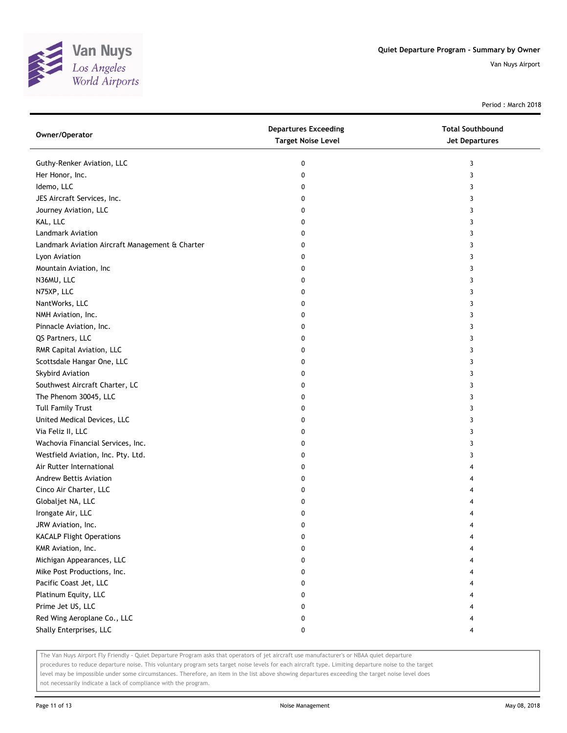

Period : March 2018

| Owner/Operator                                  | <b>Departures Exceeding</b><br><b>Target Noise Level</b> | <b>Total Southbound</b><br><b>Jet Departures</b> |
|-------------------------------------------------|----------------------------------------------------------|--------------------------------------------------|
| Guthy-Renker Aviation, LLC                      | 0                                                        | 3                                                |
| Her Honor, Inc.                                 | 0                                                        | 3                                                |
| Idemo, LLC                                      | 0                                                        | 3                                                |
| JES Aircraft Services, Inc.                     | 0                                                        | 3                                                |
| Journey Aviation, LLC                           | 0                                                        | 3                                                |
| KAL, LLC                                        | 0                                                        | 3                                                |
| Landmark Aviation                               | 0                                                        | 3                                                |
| Landmark Aviation Aircraft Management & Charter | 0                                                        | 3                                                |
| Lyon Aviation                                   | 0                                                        | 3                                                |
| Mountain Aviation, Inc                          | 0                                                        | 3                                                |
| N36MU, LLC                                      | 0                                                        | 3                                                |
| N75XP, LLC                                      | 0                                                        | 3                                                |
| NantWorks, LLC                                  | 0                                                        | 3                                                |
| NMH Aviation, Inc.                              | 0                                                        | 3                                                |
| Pinnacle Aviation, Inc.                         | 0                                                        | 3                                                |
| QS Partners, LLC                                | 0                                                        | 3                                                |
| RMR Capital Aviation, LLC                       | 0                                                        | 3                                                |
| Scottsdale Hangar One, LLC                      | 0                                                        | 3                                                |
| Skybird Aviation                                | 0                                                        | 3                                                |
| Southwest Aircraft Charter, LC                  | 0                                                        | 3                                                |
| The Phenom 30045, LLC                           | 0                                                        | 3                                                |
| <b>Tull Family Trust</b>                        | 0                                                        | 3                                                |
| United Medical Devices, LLC                     | 0                                                        | 3                                                |
| Via Feliz II, LLC                               | 0                                                        | 3                                                |
| Wachovia Financial Services, Inc.               | 0                                                        | 3                                                |
| Westfield Aviation, Inc. Pty. Ltd.              | 0                                                        | 3                                                |
| Air Rutter International                        | 0                                                        | 4                                                |
| <b>Andrew Bettis Aviation</b>                   | 0                                                        | 4                                                |
| Cinco Air Charter, LLC                          | 0                                                        | 4                                                |
| Globaljet NA, LLC                               | 0                                                        |                                                  |
| Irongate Air, LLC                               | 0                                                        |                                                  |
| JRW Aviation, Inc.                              | 0                                                        |                                                  |
| <b>KACALP Flight Operations</b>                 | o                                                        |                                                  |
| KMR Aviation, Inc.                              | 0                                                        |                                                  |
| Michigan Appearances, LLC                       | 0                                                        |                                                  |
| Mike Post Productions, Inc.                     | 0                                                        |                                                  |
| Pacific Coast Jet, LLC                          | 0                                                        |                                                  |
| Platinum Equity, LLC                            | 0                                                        |                                                  |
| Prime Jet US, LLC                               | 0                                                        |                                                  |
| Red Wing Aeroplane Co., LLC                     | 0                                                        |                                                  |
| Shally Enterprises, LLC                         | 0                                                        | 4                                                |

The Van Nuys Airport Fly Friendly - Quiet Departure Program asks that operators of jet aircraft use manufacturer's or NBAA quiet departure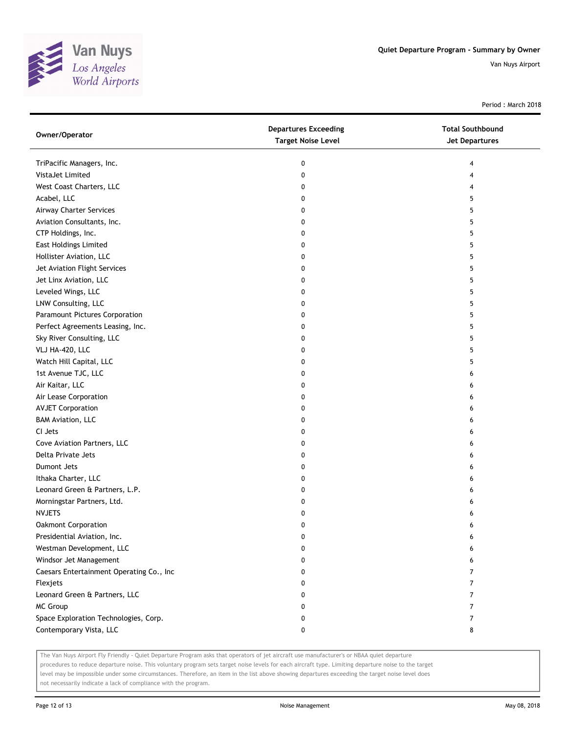

Period : March 2018

| Owner/Operator                           | <b>Departures Exceeding</b><br><b>Target Noise Level</b> | <b>Total Southbound</b><br><b>Jet Departures</b> |
|------------------------------------------|----------------------------------------------------------|--------------------------------------------------|
| TriPacific Managers, Inc.                | 0                                                        | 4                                                |
| VistaJet Limited                         | 0                                                        | 4                                                |
| West Coast Charters, LLC                 | 0                                                        | 4                                                |
| Acabel, LLC                              | 0                                                        | 5                                                |
| Airway Charter Services                  | 0                                                        | 5                                                |
| Aviation Consultants, Inc.               | 0                                                        | 5                                                |
| CTP Holdings, Inc.                       | 0                                                        | 5                                                |
| <b>East Holdings Limited</b>             | 0                                                        | 5                                                |
| Hollister Aviation, LLC                  | 0                                                        | 5                                                |
| Jet Aviation Flight Services             | 0                                                        | 5                                                |
| Jet Linx Aviation, LLC                   | 0                                                        | 5                                                |
| Leveled Wings, LLC                       | 0                                                        | 5                                                |
| LNW Consulting, LLC                      | 0                                                        | 5                                                |
| Paramount Pictures Corporation           | 0                                                        | 5                                                |
| Perfect Agreements Leasing, Inc.         | 0                                                        | 5                                                |
| Sky River Consulting, LLC                | 0                                                        | 5                                                |
| VLJ HA-420, LLC                          | 0                                                        | 5                                                |
| Watch Hill Capital, LLC                  | 0                                                        | 5                                                |
| 1st Avenue TJC, LLC                      | 0                                                        | 6                                                |
| Air Kaitar, LLC                          | 0                                                        | 6                                                |
| Air Lease Corporation                    | 0                                                        | 6                                                |
| <b>AVJET Corporation</b>                 | 0                                                        | 6                                                |
| <b>BAM Aviation, LLC</b>                 | 0                                                        | 6                                                |
| CI Jets                                  | 0                                                        | 6                                                |
| Cove Aviation Partners, LLC              | 0                                                        | 6                                                |
| Delta Private Jets                       | 0                                                        | 6                                                |
| Dumont Jets                              | 0                                                        | 6                                                |
| Ithaka Charter, LLC                      | 0                                                        | 6                                                |
| Leonard Green & Partners, L.P.           | 0                                                        | 6                                                |
| Morningstar Partners, Ltd.               | 0                                                        | 6                                                |
| <b>NVJETS</b>                            | 0                                                        | 6                                                |
| <b>Oakmont Corporation</b>               | 0                                                        | 6                                                |
| Presidential Aviation, Inc.              | 0                                                        | 6                                                |
| Westman Development, LLC                 | 0                                                        | 6                                                |
| Windsor Jet Management                   | 0                                                        | 6                                                |
| Caesars Entertainment Operating Co., Inc | 0                                                        | 7                                                |
| Flexjets                                 | 0                                                        | 7                                                |
| Leonard Green & Partners, LLC            | 0                                                        | 7                                                |
| MC Group                                 | 0                                                        | 7                                                |
| Space Exploration Technologies, Corp.    | 0                                                        | 7                                                |
| Contemporary Vista, LLC                  | 0                                                        | 8                                                |

The Van Nuys Airport Fly Friendly - Quiet Departure Program asks that operators of jet aircraft use manufacturer's or NBAA quiet departure